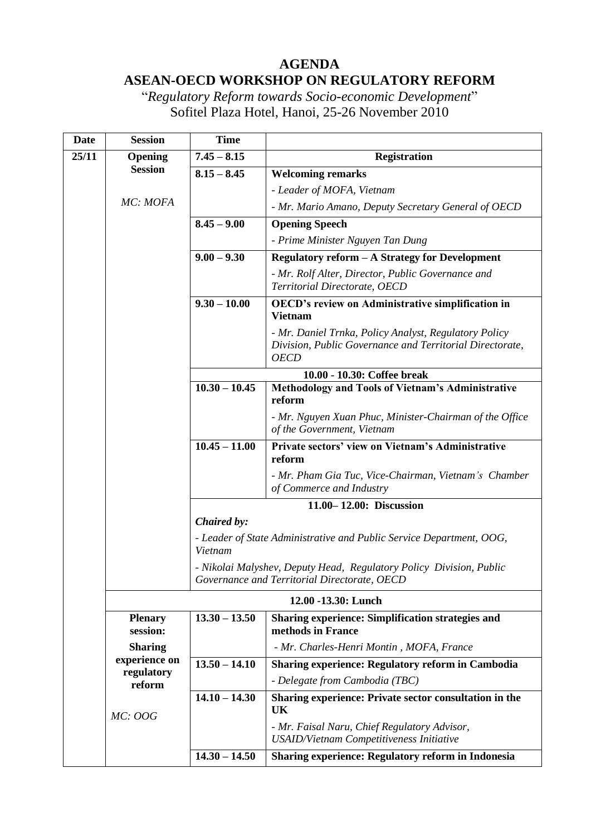## **AGENDA ASEAN-OECD WORKSHOP ON REGULATORY REFORM**

"*Regulatory Reform towards Socio-economic Development*" Sofitel Plaza Hotel, Hanoi, 25-26 November 2010

| <b>Date</b> | <b>Session</b>                        | <b>Time</b>                                                                                                         |                                                                                                                                  |  |  |
|-------------|---------------------------------------|---------------------------------------------------------------------------------------------------------------------|----------------------------------------------------------------------------------------------------------------------------------|--|--|
| 25/11       | Opening<br><b>Session</b><br>MC: MOFA | $7.45 - 8.15$                                                                                                       | <b>Registration</b>                                                                                                              |  |  |
|             |                                       | $8.15 - 8.45$                                                                                                       | <b>Welcoming remarks</b>                                                                                                         |  |  |
|             |                                       |                                                                                                                     | - Leader of MOFA, Vietnam                                                                                                        |  |  |
|             |                                       |                                                                                                                     | - Mr. Mario Amano, Deputy Secretary General of OECD                                                                              |  |  |
|             |                                       | $8.45 - 9.00$                                                                                                       | <b>Opening Speech</b>                                                                                                            |  |  |
|             |                                       |                                                                                                                     | - Prime Minister Nguyen Tan Dung                                                                                                 |  |  |
|             |                                       | $9.00 - 9.30$                                                                                                       | Regulatory reform - A Strategy for Development                                                                                   |  |  |
|             |                                       |                                                                                                                     | - Mr. Rolf Alter, Director, Public Governance and<br>Territorial Directorate, OECD                                               |  |  |
|             |                                       | $9.30 - 10.00$                                                                                                      | <b>OECD's review on Administrative simplification in</b><br><b>Vietnam</b>                                                       |  |  |
|             |                                       |                                                                                                                     | - Mr. Daniel Trnka, Policy Analyst, Regulatory Policy<br>Division, Public Governance and Territorial Directorate,<br><b>OECD</b> |  |  |
|             |                                       |                                                                                                                     | 10.00 - 10.30: Coffee break                                                                                                      |  |  |
|             |                                       | $10.30 - 10.45$                                                                                                     | Methodology and Tools of Vietnam's Administrative<br>reform                                                                      |  |  |
|             |                                       |                                                                                                                     | - Mr. Nguyen Xuan Phuc, Minister-Chairman of the Office<br>of the Government, Vietnam                                            |  |  |
|             |                                       | $10.45 - 11.00$                                                                                                     | Private sectors' view on Vietnam's Administrative<br>reform                                                                      |  |  |
|             |                                       |                                                                                                                     | - Mr. Pham Gia Tuc, Vice-Chairman, Vietnam's Chamber<br>of Commerce and Industry                                                 |  |  |
|             |                                       |                                                                                                                     | 11.00-12.00: Discussion                                                                                                          |  |  |
|             |                                       | Chaired by:                                                                                                         |                                                                                                                                  |  |  |
|             |                                       | Vietnam                                                                                                             | - Leader of State Administrative and Public Service Department, OOG,                                                             |  |  |
|             |                                       | - Nikolai Malyshev, Deputy Head, Regulatory Policy Division, Public<br>Governance and Territorial Directorate, OECD |                                                                                                                                  |  |  |
|             | 12.00 -13.30: Lunch                   |                                                                                                                     |                                                                                                                                  |  |  |
|             | <b>Plenary</b><br>session:            | $13.30 - 13.50$                                                                                                     | Sharing experience: Simplification strategies and<br>methods in France                                                           |  |  |
|             | <b>Sharing</b>                        |                                                                                                                     | - Mr. Charles-Henri Montin, MOFA, France                                                                                         |  |  |
|             | experience on<br>regulatory           | $13.50 - 14.10$                                                                                                     | <b>Sharing experience: Regulatory reform in Cambodia</b>                                                                         |  |  |
|             | reform                                |                                                                                                                     | - Delegate from Cambodia (TBC)                                                                                                   |  |  |
|             | <b>MC: OOG</b>                        | $14.10 - 14.30$                                                                                                     | Sharing experience: Private sector consultation in the<br>UK                                                                     |  |  |
|             |                                       |                                                                                                                     | - Mr. Faisal Naru, Chief Regulatory Advisor,<br><b>USAID/Vietnam Competitiveness Initiative</b>                                  |  |  |
|             |                                       | $14.30 - 14.50$                                                                                                     | Sharing experience: Regulatory reform in Indonesia                                                                               |  |  |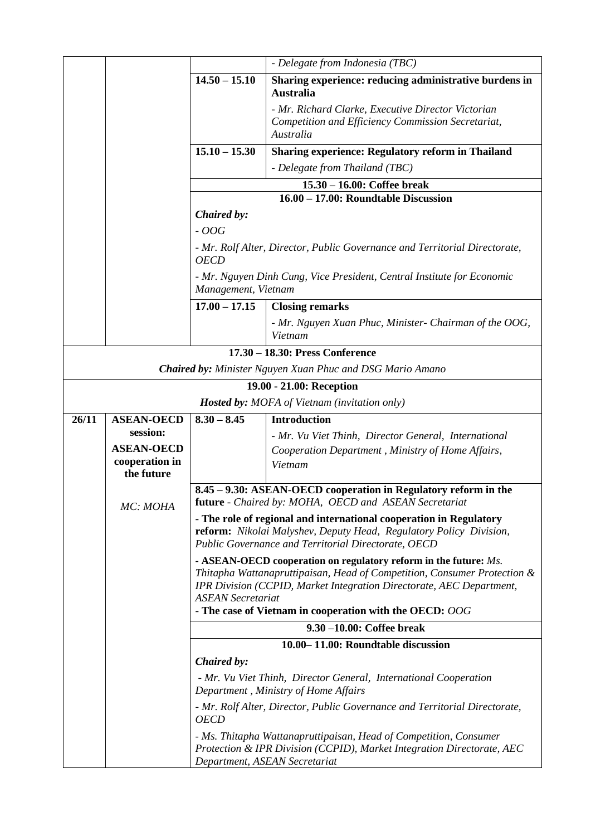|                                                                                           |                                                                                               |                                                                                                                                                                                                                                         | - Delegate from Indonesia (TBC)                                                                                          |  |  |
|-------------------------------------------------------------------------------------------|-----------------------------------------------------------------------------------------------|-----------------------------------------------------------------------------------------------------------------------------------------------------------------------------------------------------------------------------------------|--------------------------------------------------------------------------------------------------------------------------|--|--|
|                                                                                           |                                                                                               | $14.50 - 15.10$                                                                                                                                                                                                                         | Sharing experience: reducing administrative burdens in<br><b>Australia</b>                                               |  |  |
|                                                                                           |                                                                                               |                                                                                                                                                                                                                                         | - Mr. Richard Clarke, Executive Director Victorian                                                                       |  |  |
|                                                                                           |                                                                                               |                                                                                                                                                                                                                                         | Competition and Efficiency Commission Secretariat,                                                                       |  |  |
|                                                                                           |                                                                                               |                                                                                                                                                                                                                                         | Australia                                                                                                                |  |  |
|                                                                                           |                                                                                               | $15.10 - 15.30$                                                                                                                                                                                                                         | <b>Sharing experience: Regulatory reform in Thailand</b>                                                                 |  |  |
|                                                                                           |                                                                                               |                                                                                                                                                                                                                                         | - Delegate from Thailand (TBC)                                                                                           |  |  |
|                                                                                           |                                                                                               | $15.30 - 16.00$ : Coffee break<br>16.00 - 17.00: Roundtable Discussion                                                                                                                                                                  |                                                                                                                          |  |  |
|                                                                                           | Chaired by:<br>$-OOG$                                                                         |                                                                                                                                                                                                                                         |                                                                                                                          |  |  |
|                                                                                           |                                                                                               |                                                                                                                                                                                                                                         |                                                                                                                          |  |  |
| - Mr. Rolf Alter, Director, Public Governance and Territorial Directorate,<br><b>OECD</b> |                                                                                               |                                                                                                                                                                                                                                         |                                                                                                                          |  |  |
|                                                                                           | - Mr. Nguyen Dinh Cung, Vice President, Central Institute for Economic<br>Management, Vietnam |                                                                                                                                                                                                                                         |                                                                                                                          |  |  |
|                                                                                           |                                                                                               | $17.00 - 17.15$                                                                                                                                                                                                                         | <b>Closing remarks</b>                                                                                                   |  |  |
|                                                                                           |                                                                                               |                                                                                                                                                                                                                                         | - Mr. Nguyen Xuan Phuc, Minister- Chairman of the OOG,<br>Vietnam                                                        |  |  |
|                                                                                           | 17.30 - 18.30: Press Conference                                                               |                                                                                                                                                                                                                                         |                                                                                                                          |  |  |
|                                                                                           |                                                                                               |                                                                                                                                                                                                                                         | <b>Chaired by:</b> Minister Nguyen Xuan Phuc and DSG Mario Amano                                                         |  |  |
|                                                                                           |                                                                                               |                                                                                                                                                                                                                                         | 19.00 - 21.00: Reception                                                                                                 |  |  |
|                                                                                           |                                                                                               |                                                                                                                                                                                                                                         | <b>Hosted by:</b> MOFA of Vietnam (invitation only)                                                                      |  |  |
| 26/11                                                                                     | <b>ASEAN-OECD</b>                                                                             | $8.30 - 8.45$                                                                                                                                                                                                                           | <b>Introduction</b>                                                                                                      |  |  |
|                                                                                           | session:                                                                                      |                                                                                                                                                                                                                                         | - Mr. Vu Viet Thinh, Director General, International                                                                     |  |  |
|                                                                                           | <b>ASEAN-OECD</b><br>cooperation in                                                           |                                                                                                                                                                                                                                         | Cooperation Department, Ministry of Home Affairs,<br>Vietnam                                                             |  |  |
|                                                                                           | the future                                                                                    |                                                                                                                                                                                                                                         |                                                                                                                          |  |  |
|                                                                                           |                                                                                               |                                                                                                                                                                                                                                         | 8.45 – 9.30: ASEAN-OECD cooperation in Regulatory reform in the<br>future - Chaired by: MOHA, OECD and ASEAN Secretariat |  |  |
|                                                                                           | MC: MOHA                                                                                      |                                                                                                                                                                                                                                         |                                                                                                                          |  |  |
|                                                                                           |                                                                                               | - The role of regional and international cooperation in Regulatory<br>reform: Nikolai Malyshev, Deputy Head, Regulatory Policy Division,<br>Public Governance and Territorial Directorate, OECD                                         |                                                                                                                          |  |  |
|                                                                                           |                                                                                               | - ASEAN-OECD cooperation on regulatory reform in the future: Ms.                                                                                                                                                                        |                                                                                                                          |  |  |
|                                                                                           |                                                                                               | Thitapha Wattanapruttipaisan, Head of Competition, Consumer Protection &<br>IPR Division (CCPID, Market Integration Directorate, AEC Department,<br><b>ASEAN</b> Secretariat<br>- The case of Vietnam in cooperation with the OECD: OOG |                                                                                                                          |  |  |
|                                                                                           |                                                                                               |                                                                                                                                                                                                                                         | 9.30 -10.00: Coffee break                                                                                                |  |  |
|                                                                                           |                                                                                               |                                                                                                                                                                                                                                         | 10.00–11.00: Roundtable discussion                                                                                       |  |  |
|                                                                                           |                                                                                               | Chaired by:                                                                                                                                                                                                                             |                                                                                                                          |  |  |
|                                                                                           |                                                                                               | - Mr. Vu Viet Thinh, Director General, International Cooperation                                                                                                                                                                        |                                                                                                                          |  |  |
|                                                                                           |                                                                                               | Department, Ministry of Home Affairs                                                                                                                                                                                                    |                                                                                                                          |  |  |
|                                                                                           |                                                                                               | - Mr. Rolf Alter, Director, Public Governance and Territorial Directorate,<br><b>OECD</b>                                                                                                                                               |                                                                                                                          |  |  |
|                                                                                           |                                                                                               | - Ms. Thitapha Wattanapruttipaisan, Head of Competition, Consumer<br>Protection & IPR Division (CCPID), Market Integration Directorate, AEC<br>Department, ASEAN Secretariat                                                            |                                                                                                                          |  |  |